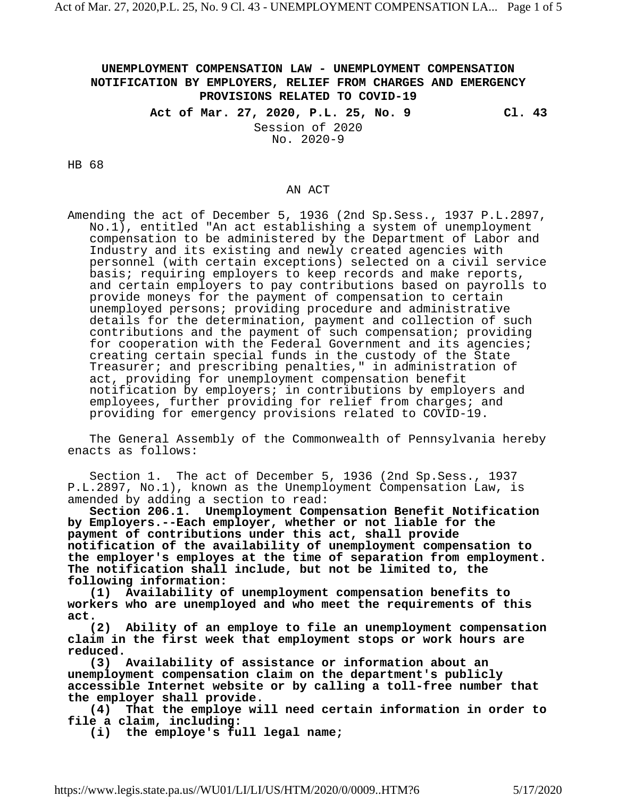## **UNEMPLOYMENT COMPENSATION LAW - UNEMPLOYMENT COMPENSATION NOTIFICATION BY EMPLOYERS, RELIEF FROM CHARGES AND EMERGENCY PROVISIONS RELATED TO COVID-19**

**Act of Mar. 27, 2020, P.L. 25, No. 9 Cl. 43** Session of 2020 No. 2020-9

HB 68

## AN ACT

Amending the act of December 5, 1936 (2nd Sp.Sess., 1937 P.L.2897, No.1), entitled "An act establishing a system of unemployment compensation to be administered by the Department of Labor and Industry and its existing and newly created agencies with personnel (with certain exceptions) selected on a civil service basis; requiring employers to keep records and make reports, and certain employers to pay contributions based on payrolls to provide moneys for the payment of compensation to certain unemployed persons; providing procedure and administrative details for the determination, payment and collection of such contributions and the payment of such compensation; providing for cooperation with the Federal Government and its agencies; creating certain special funds in the custody of the State Treasurer; and prescribing penalties," in administration of act, providing for unemployment compensation benefit notification by employers; in contributions by employers and employees, further providing for relief from charges; and providing for emergency provisions related to COVID-19.

The General Assembly of the Commonwealth of Pennsylvania hereby enacts as follows:

Section 1. The act of December 5, 1936 (2nd Sp.Sess., 1937 P.L.2897, No.1), known as the Unemployment Compensation Law, is amended by adding a section to read:

**Section 206.1. Unemployment Compensation Benefit Notification by Employers.--Each employer, whether or not liable for the payment of contributions under this act, shall provide notification of the availability of unemployment compensation to the employer's employes at the time of separation from employment. The notification shall include, but not be limited to, the following information:** 

**(1) Availability of unemployment compensation benefits to workers who are unemployed and who meet the requirements of this act.** 

**(2) Ability of an employe to file an unemployment compensation claim in the first week that employment stops or work hours are reduced.** 

**(3) Availability of assistance or information about an unemployment compensation claim on the department's publicly accessible Internet website or by calling a toll-free number that the employer shall provide.** 

**(4) That the employe will need certain information in order to file a claim, including:**

**(i) the employe's full legal name;**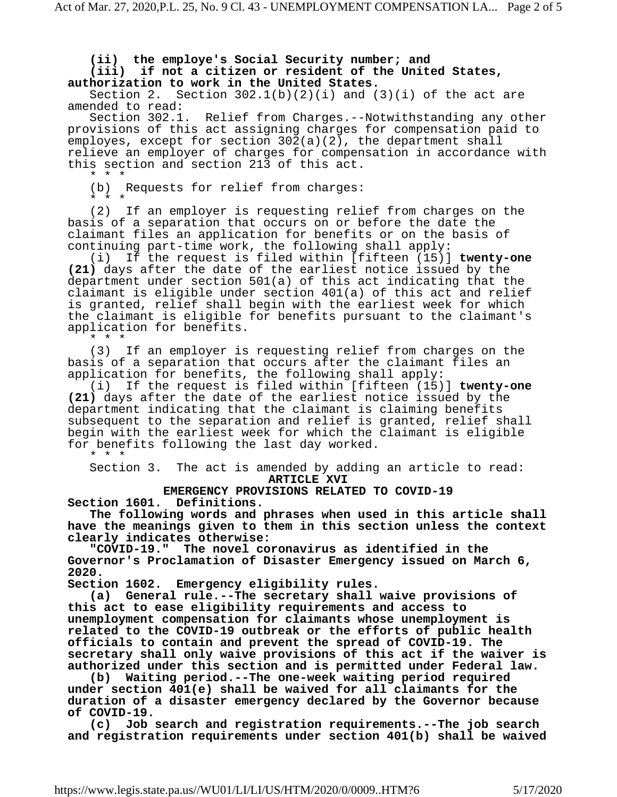**(ii) the employe's Social Security number; and**

**(iii) if not a citizen or resident of the United States, authorization to work in the United States.** 

Section 2. Section  $302.1(b)(2)(i)$  and  $(3)(i)$  of the act are amended to read:

Section 302.1. Relief from Charges.--Notwithstanding any other provisions of this act assigning charges for compensation paid to employes, except for section 302(a)(2), the department shall relieve an employer of charges for compensation in accordance with this section and section 213 of this act.

\* \* \*

(b) Requests for relief from charges:

\* \* \*

(2) If an employer is requesting relief from charges on the basis of a separation that occurs on or before the date the claimant files an application for benefits or on the basis of continuing part-time work, the following shall apply:

(i) If the request is filed within [fifteen (15)] **twenty-one (21)** days after the date of the earliest notice issued by the department under section 501(a) of this act indicating that the claimant is eligible under section 401(a) of this act and relief is granted, relief shall begin with the earliest week for which the claimant is eligible for benefits pursuant to the claimant's application for benefits.

\* \* \*

(3) If an employer is requesting relief from charges on the basis of a separation that occurs after the claimant files an application for benefits, the following shall apply:

(i) If the request is filed within [fifteen (15)] **twenty-one (21)** days after the date of the earliest notice issued by the department indicating that the claimant is claiming benefits subsequent to the separation and relief is granted, relief shall begin with the earliest week for which the claimant is eligible for benefits following the last day worked.

\* \* \*

Section 3. The act is amended by adding an article to read: **ARTICLE XVI**

**EMERGENCY PROVISIONS RELATED TO COVID-19 Section 1601. Definitions.**

**The following words and phrases when used in this article shall have the meanings given to them in this section unless the context clearly indicates otherwise:** 

**"COVID-19." The novel coronavirus as identified in the Governor's Proclamation of Disaster Emergency issued on March 6, 2020.** 

**Section 1602. Emergency eligibility rules.**

**(a) General rule.--The secretary shall waive provisions of this act to ease eligibility requirements and access to unemployment compensation for claimants whose unemployment is related to the COVID-19 outbreak or the efforts of public health officials to contain and prevent the spread of COVID-19. The secretary shall only waive provisions of this act if the waiver is authorized under this section and is permitted under Federal law.** 

**(b) Waiting period.--The one-week waiting period required under section 401(e) shall be waived for all claimants for the duration of a disaster emergency declared by the Governor because of COVID-19.** 

**(c) Job search and registration requirements.--The job search and registration requirements under section 401(b) shall be waived**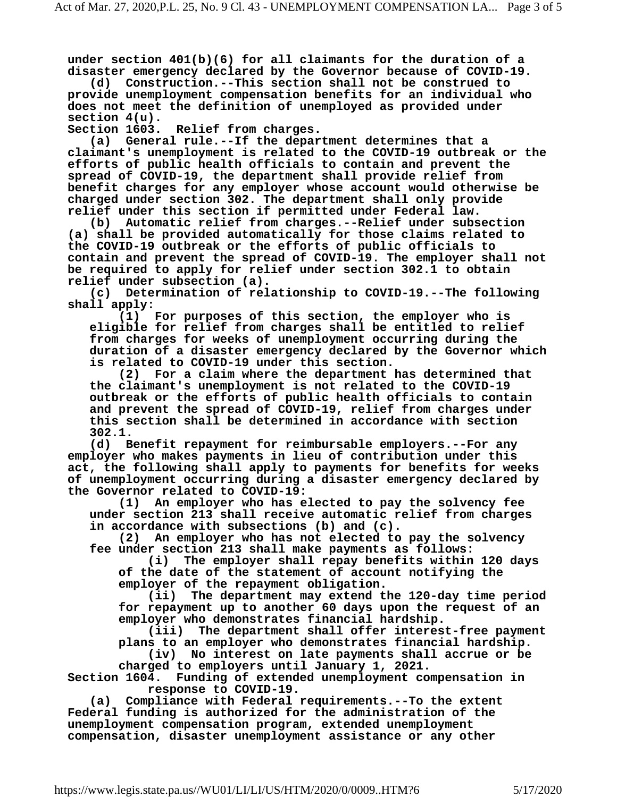**under section 401(b)(6) for all claimants for the duration of a disaster emergency declared by the Governor because of COVID-19.** 

**(d) Construction.--This section shall not be construed to provide unemployment compensation benefits for an individual who does not meet the definition of unemployed as provided under section 4(u).** 

**Section 1603. Relief from charges.**

**(a) General rule.--If the department determines that a claimant's unemployment is related to the COVID-19 outbreak or the efforts of public health officials to contain and prevent the spread of COVID-19, the department shall provide relief from benefit charges for any employer whose account would otherwise be charged under section 302. The department shall only provide relief under this section if permitted under Federal law.** 

**(b) Automatic relief from charges.--Relief under subsection (a) shall be provided automatically for those claims related to the COVID-19 outbreak or the efforts of public officials to contain and prevent the spread of COVID-19. The employer shall not be required to apply for relief under section 302.1 to obtain relief under subsection (a).** 

**(c) Determination of relationship to COVID-19.--The following shall apply:**

**(1) For purposes of this section, the employer who is eligible for relief from charges shall be entitled to relief from charges for weeks of unemployment occurring during the duration of a disaster emergency declared by the Governor which is related to COVID-19 under this section.** 

**(2) For a claim where the department has determined that the claimant's unemployment is not related to the COVID-19 outbreak or the efforts of public health officials to contain and prevent the spread of COVID-19, relief from charges under this section shall be determined in accordance with section 302.1.** 

**(d) Benefit repayment for reimbursable employers.--For any employer who makes payments in lieu of contribution under this act, the following shall apply to payments for benefits for weeks of unemployment occurring during a disaster emergency declared by the Governor related to COVID-19:** 

**(1) An employer who has elected to pay the solvency fee under section 213 shall receive automatic relief from charges in accordance with subsections (b) and (c).** 

**(2) An employer who has not elected to pay the solvency fee under section 213 shall make payments as follows:** 

**(i) The employer shall repay benefits within 120 days of the date of the statement of account notifying the** 

**employer of the repayment obligation. (ii) The department may extend the 120-day time period for repayment up to another 60 days upon the request of an employer who demonstrates financial hardship.** 

**(iii) The department shall offer interest-free payment plans to an employer who demonstrates financial hardship.** 

**(iv) No interest on late payments shall accrue or be charged to employers until January 1, 2021.** 

**Section 1604. Funding of extended unemployment compensation in response to COVID-19.**

**(a) Compliance with Federal requirements.--To the extent Federal funding is authorized for the administration of the unemployment compensation program, extended unemployment compensation, disaster unemployment assistance or any other**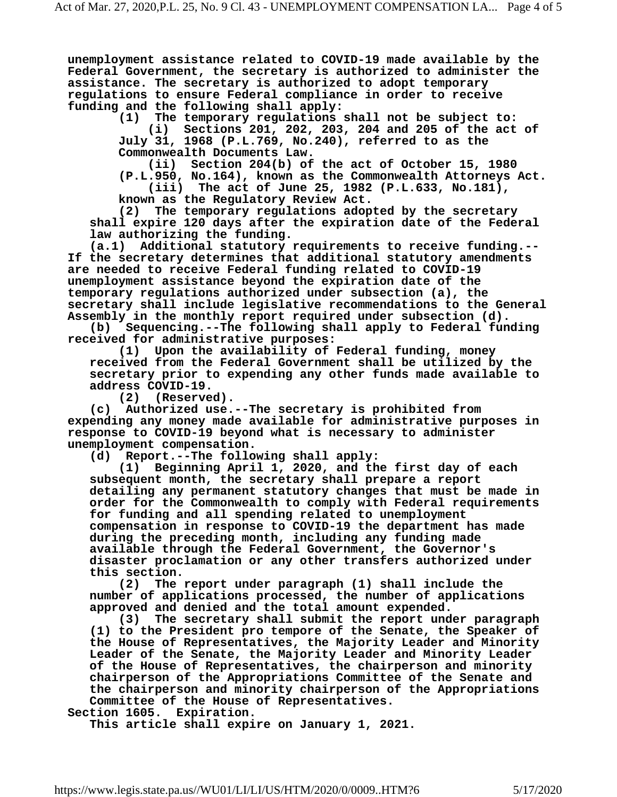**unemployment assistance related to COVID-19 made available by the Federal Government, the secretary is authorized to administer the assistance. The secretary is authorized to adopt temporary regulations to ensure Federal compliance in order to receive funding and the following shall apply:** 

**(1) The temporary regulations shall not be subject to: (i) Sections 201, 202, 203, 204 and 205 of the act of July 31, 1968 (P.L.769, No.240), referred to as the Commonwealth Documents Law.** 

**(ii) Section 204(b) of the act of October 15, 1980 (P.L.950, No.164), known as the Commonwealth Attorneys Act.** 

**(iii) The act of June 25, 1982 (P.L.633, No.181), known as the Regulatory Review Act.**

**(2) The temporary regulations adopted by the secretary shall expire 120 days after the expiration date of the Federal law authorizing the funding.** 

**(a.1) Additional statutory requirements to receive funding.-- If the secretary determines that additional statutory amendments are needed to receive Federal funding related to COVID-19 unemployment assistance beyond the expiration date of the temporary regulations authorized under subsection (a), the secretary shall include legislative recommendations to the General Assembly in the monthly report required under subsection (d).** 

**(b) Sequencing.--The following shall apply to Federal funding received for administrative purposes:** 

**(1) Upon the availability of Federal funding, money received from the Federal Government shall be utilized by the secretary prior to expending any other funds made available to address COVID-19.** 

**(2) (Reserved).**

**(c) Authorized use.--The secretary is prohibited from expending any money made available for administrative purposes in response to COVID-19 beyond what is necessary to administer unemployment compensation.** 

**(d) Report.--The following shall apply:**

**(1) Beginning April 1, 2020, and the first day of each subsequent month, the secretary shall prepare a report detailing any permanent statutory changes that must be made in order for the Commonwealth to comply with Federal requirements for funding and all spending related to unemployment compensation in response to COVID-19 the department has made during the preceding month, including any funding made available through the Federal Government, the Governor's disaster proclamation or any other transfers authorized under this section.** 

**(2) The report under paragraph (1) shall include the number of applications processed, the number of applications approved and denied and the total amount expended.** 

**(3) The secretary shall submit the report under paragraph (1) to the President pro tempore of the Senate, the Speaker of the House of Representatives, the Majority Leader and Minority Leader of the Senate, the Majority Leader and Minority Leader of the House of Representatives, the chairperson and minority chairperson of the Appropriations Committee of the Senate and the chairperson and minority chairperson of the Appropriations Committee of the House of Representatives.** 

**Section 1605. Expiration.**

**This article shall expire on January 1, 2021.**